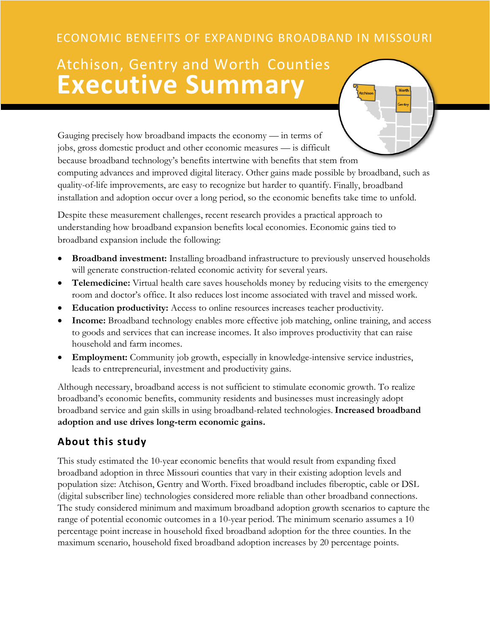# ECONOMIC BENEFITS OF EXPANDING BROADBAND IN MISSOURI

# Atchison, Gentry and Worth Counties **Executive Summary**

Gauging precisely how broadband impacts the economy — in terms of jobs, gross domestic product and other economic measures — is difficult because broadband technology's benefits intertwine with benefits that stem from computing advances and improved digital literacy. Other gains made possible by broadband, such as quality-of-life improvements, are easy to recognize but harder to quantify. Finally, broadband installation and adoption occur over a long period, so the economic benefits take time to unfold.

Despite these measurement challenges, recent research provides a practical approach to understanding how broadband expansion benefits local economies. Economic gains tied to broadband expansion include the following:

- **Broadband investment:** Installing broadband infrastructure to previously unserved households will generate construction-related economic activity for several years.
- **Telemedicine:** Virtual health care saves households money by reducing visits to the emergency room and doctor's office. It also reduces lost income associated with travel and missed work.
- **Education productivity:** Access to online resources increases teacher productivity.
- **Income:** Broadband technology enables more effective job matching, online training, and access to goods and services that can increase incomes. It also improves productivity that can raise household and farm incomes.
- **Employment:** Community job growth, especially in knowledge-intensive service industries, leads to entrepreneurial, investment and productivity gains.

Although necessary, broadband access is not sufficient to stimulate economic growth. To realize broadband's economic benefits, community residents and businesses must increasingly adopt broadband service and gain skills in using broadband-related technologies. **Increased broadband adoption and use drives long-term economic gains.**

## **About this study**

This study estimated the 10-year economic benefits that would result from expanding fixed broadband adoption in three Missouri counties that vary in their existing adoption levels and population size: Atchison, Gentry and Worth. Fixed broadband includes fiberoptic, cable or DSL (digital subscriber line) technologies considered more reliable than other broadband connections. The study considered minimum and maximum broadband adoption growth scenarios to capture the range of potential economic outcomes in a 10-year period. The minimum scenario assumes a 10 percentage point increase in household fixed broadband adoption for the three counties. In the maximum scenario, household fixed broadband adoption increases by 20 percentage points.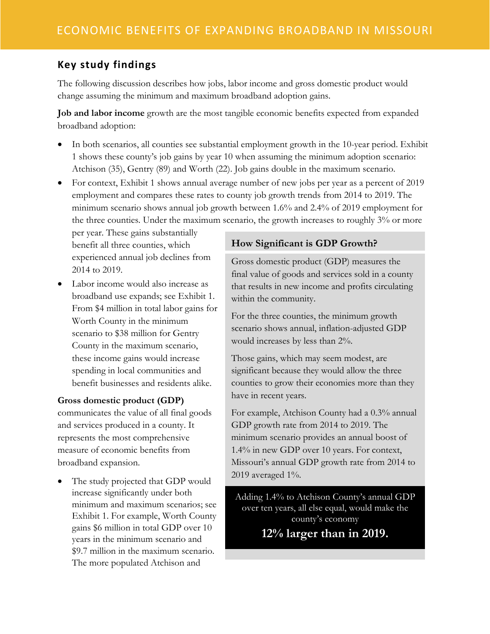## **Key study findings**

The following discussion describes how jobs, labor income and gross domestic product would change assuming the minimum and maximum broadband adoption gains.

**Job and labor income** growth are the most tangible economic benefits expected from expanded broadband adoption:

- In both scenarios, all counties see substantial employment growth in the 10-year period. Exhibit 1 shows these county's job gains by year 10 when assuming the minimum adoption scenario: Atchison (35), Gentry (89) and Worth (22). Job gains double in the maximum scenario.
- For context, Exhibit 1 shows annual average number of new jobs per year as a percent of 2019 employment and compares these rates to county job growth trends from 2014 to 2019. The minimum scenario shows annual job growth between 1.6% and 2.4% of 2019 employment for the three counties. Under the maximum scenario, the growth increases to roughly 3% or more

per year. These gains substantially benefit all three counties, which experienced annual job declines from 2014 to 2019.

• Labor income would also increase as broadband use expands; see Exhibit 1. From \$4 million in total labor gains for Worth County in the minimum scenario to \$38 million for Gentry County in the maximum scenario, these income gains would increase spending in local communities and benefit businesses and residents alike.

#### **Gross domestic product (GDP)**

communicates the value of all final goods and services produced in a county. It represents the most comprehensive measure of economic benefits from broadband expansion.

The study projected that GDP would increase significantly under both minimum and maximum scenarios; see Exhibit 1. For example, Worth County gains \$6 million in total GDP over 10 years in the minimum scenario and \$9.7 million in the maximum scenario. The more populated Atchison and

### **How Significant is GDP Growth?**

Gross domestic product (GDP) measures the final value of goods and services sold in a county that results in new income and profits circulating within the community.

For the three counties, the minimum growth scenario shows annual, inflation-adjusted GDP would increases by less than 2%.

Those gains, which may seem modest, are significant because they would allow the three counties to grow their economies more than they have in recent years.

For example, Atchison County had a 0.3% annual GDP growth rate from 2014 to 2019. The minimum scenario provides an annual boost of 1.4% in new GDP over 10 years. For context, Missouri's annual GDP growth rate from 2014 to 2019 averaged 1%.

Adding 1.4% to Atchison County's annual GDP over ten years, all else equal, would make the county's economy **12% larger than in 2019.**